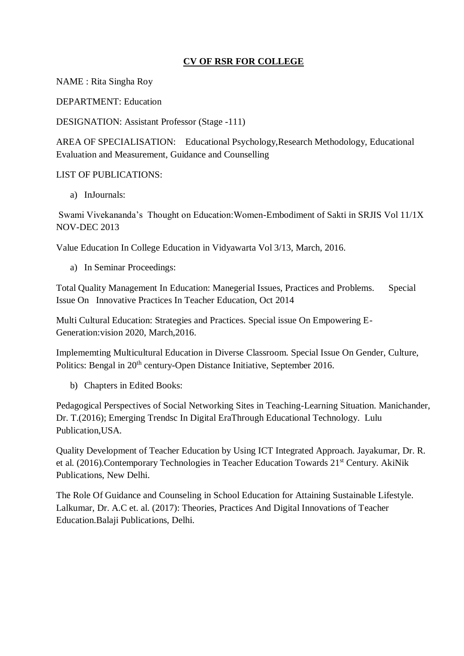## **CV OF RSR FOR COLLEGE**

NAME : Rita Singha Roy

DEPARTMENT: Education

DESIGNATION: Assistant Professor (Stage -111)

AREA OF SPECIALISATION: Educational Psychology,Research Methodology, Educational Evaluation and Measurement, Guidance and Counselling

## LIST OF PUBLICATIONS:

a) InJournals:

Swami Vivekananda's Thought on Education:Women-Embodiment of Sakti in SRJIS Vol 11/1X NOV-DEC 2013

Value Education In College Education in Vidyawarta Vol 3/13, March, 2016.

a) In Seminar Proceedings:

Total Quality Management In Education: Manegerial Issues, Practices and Problems. Special Issue On Innovative Practices In Teacher Education, Oct 2014

Multi Cultural Education: Strategies and Practices. Special issue On Empowering E-Generation:vision 2020, March,2016.

Implememting Multicultural Education in Diverse Classroom. Special Issue On Gender, Culture, Politics: Bengal in 20<sup>th</sup> century-Open Distance Initiative, September 2016.

b) Chapters in Edited Books:

Pedagogical Perspectives of Social Networking Sites in Teaching-Learning Situation. Manichander, Dr. T.(2016); Emerging Trendsc In Digital EraThrough Educational Technology. Lulu Publication,USA.

Quality Development of Teacher Education by Using ICT Integrated Approach. Jayakumar, Dr. R. et al. (2016).Contemporary Technologies in Teacher Education Towards 21st Century. AkiNik Publications, New Delhi.

The Role Of Guidance and Counseling in School Education for Attaining Sustainable Lifestyle. Lalkumar, Dr. A.C et. al. (2017): Theories, Practices And Digital Innovations of Teacher Education.Balaji Publications, Delhi.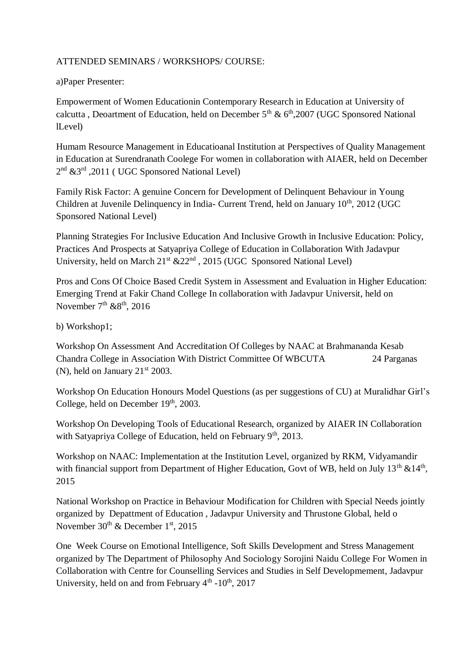## ATTENDED SEMINARS / WORKSHOPS/ COURSE:

## a)Paper Presenter:

Empowerment of Women Educationin Contemporary Research in Education at University of calcutta , Deoartment of Education, held on December  $5<sup>th</sup>$  &  $6<sup>th</sup>$ , 2007 (UGC Sponsored National lLevel)

Humam Resource Management in Educatioanal Institution at Perspectives of Quality Management in Education at Surendranath Coolege For women in collaboration with AIAER, held on December 2<sup>nd</sup> &3<sup>rd</sup>,2011 (UGC Sponsored National Level)

Family Risk Factor: A genuine Concern for Development of Delinquent Behaviour in Young Children at Juvenile Delinquency in India- Current Trend, held on January 10<sup>th</sup>, 2012 (UGC Sponsored National Level)

Planning Strategies For Inclusive Education And Inclusive Growth in Inclusive Education: Policy, Practices And Prospects at Satyapriya College of Education in Collaboration With Jadavpur University, held on March 21<sup>st</sup> &22<sup>nd</sup>, 2015 (UGC Sponsored National Level)

Pros and Cons Of Choice Based Credit System in Assessment and Evaluation in Higher Education: Emerging Trend at Fakir Chand College In collaboration with Jadavpur Universit, held on November  $7<sup>th</sup>$  & $8<sup>th</sup>$ , 2016

b) Workshop1;

Workshop On Assessment And Accreditation Of Colleges by NAAC at Brahmananda Kesab Chandra College in Association With District Committee Of WBCUTA 24 Parganas (N), held on January  $21<sup>st</sup> 2003$ .

Workshop On Education Honours Model Questions (as per suggestions of CU) at Muralidhar Girl's College, held on December 19th, 2003.

Workshop On Developing Tools of Educational Research, organized by AIAER IN Collaboration with Satyapriya College of Education, held on February 9<sup>th</sup>, 2013.

Workshop on NAAC: Implementation at the Institution Level, organized by RKM, Vidyamandir with financial support from Department of Higher Education, Govt of WB, held on July 13<sup>th</sup> &14<sup>th</sup>, 2015

National Workshop on Practice in Behaviour Modification for Children with Special Needs jointly organized by Depattment of Education , Jadavpur University and Thrustone Global, held o November 30<sup>th</sup> & December 1<sup>st</sup>, 2015

One Week Course on Emotional Intelligence, Soft Skills Development and Stress Management organized by The Department of Philosophy And Sociology Sorojini Naidu College For Women in Collaboration with Centre for Counselling Services and Studies in Self Developmement, Jadavpur University, held on and from February  $4<sup>th</sup>$  -10<sup>th</sup>, 2017